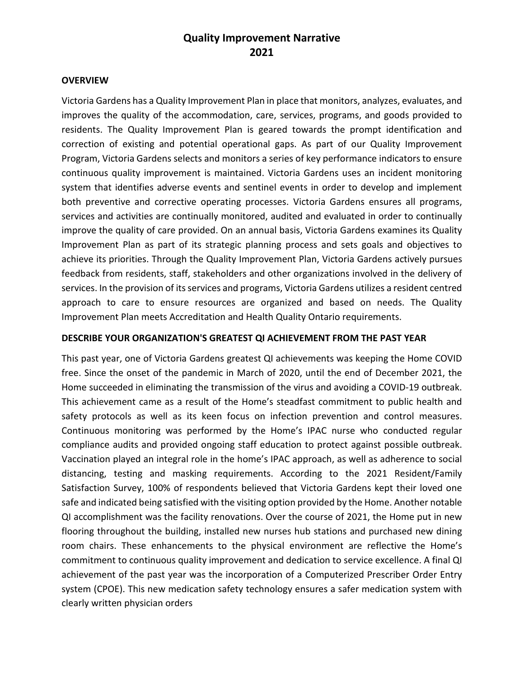# **Quality Improvement Narrative 2021**

#### **OVERVIEW**

Victoria Gardens has a Quality Improvement Plan in place that monitors, analyzes, evaluates, and improves the quality of the accommodation, care, services, programs, and goods provided to residents. The Quality Improvement Plan is geared towards the prompt identification and correction of existing and potential operational gaps. As part of our Quality Improvement Program, Victoria Gardens selects and monitors a series of key performance indicators to ensure continuous quality improvement is maintained. Victoria Gardens uses an incident monitoring system that identifies adverse events and sentinel events in order to develop and implement both preventive and corrective operating processes. Victoria Gardens ensures all programs, services and activities are continually monitored, audited and evaluated in order to continually improve the quality of care provided. On an annual basis, Victoria Gardens examines its Quality Improvement Plan as part of its strategic planning process and sets goals and objectives to achieve its priorities. Through the Quality Improvement Plan, Victoria Gardens actively pursues feedback from residents, staff, stakeholders and other organizations involved in the delivery of services. In the provision of its services and programs, Victoria Gardens utilizes a resident centred approach to care to ensure resources are organized and based on needs. The Quality Improvement Plan meets Accreditation and Health Quality Ontario requirements.

#### **DESCRIBE YOUR ORGANIZATION'S GREATEST QI ACHIEVEMENT FROM THE PAST YEAR**

This past year, one of Victoria Gardens greatest QI achievements was keeping the Home COVID free. Since the onset of the pandemic in March of 2020, until the end of December 2021, the Home succeeded in eliminating the transmission of the virus and avoiding a COVID-19 outbreak. This achievement came as a result of the Home's steadfast commitment to public health and safety protocols as well as its keen focus on infection prevention and control measures. Continuous monitoring was performed by the Home's IPAC nurse who conducted regular compliance audits and provided ongoing staff education to protect against possible outbreak. Vaccination played an integral role in the home's IPAC approach, as well as adherence to social distancing, testing and masking requirements. According to the 2021 Resident/Family Satisfaction Survey, 100% of respondents believed that Victoria Gardens kept their loved one safe and indicated being satisfied with the visiting option provided by the Home. Another notable QI accomplishment was the facility renovations. Over the course of 2021, the Home put in new flooring throughout the building, installed new nurses hub stations and purchased new dining room chairs. These enhancements to the physical environment are reflective the Home's commitment to continuous quality improvement and dedication to service excellence. A final QI achievement of the past year was the incorporation of a Computerized Prescriber Order Entry system (CPOE). This new medication safety technology ensures a safer medication system with clearly written physician orders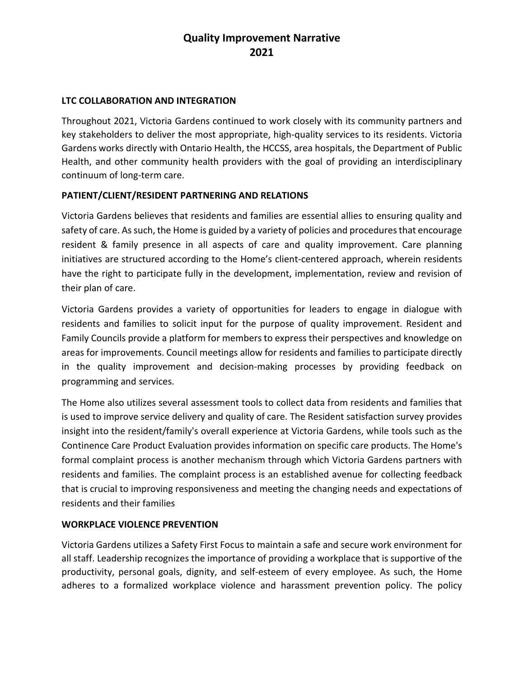# **Quality Improvement Narrative 2021**

## **LTC COLLABORATION AND INTEGRATION**

Throughout 2021, Victoria Gardens continued to work closely with its community partners and key stakeholders to deliver the most appropriate, high-quality services to its residents. Victoria Gardens works directly with Ontario Health, the HCCSS, area hospitals, the Department of Public Health, and other community health providers with the goal of providing an interdisciplinary continuum of long-term care.

## **PATIENT/CLIENT/RESIDENT PARTNERING AND RELATIONS**

Victoria Gardens believes that residents and families are essential allies to ensuring quality and safety of care. As such, the Home is guided by a variety of policies and procedures that encourage resident & family presence in all aspects of care and quality improvement. Care planning initiatives are structured according to the Home's client-centered approach, wherein residents have the right to participate fully in the development, implementation, review and revision of their plan of care.

Victoria Gardens provides a variety of opportunities for leaders to engage in dialogue with residents and families to solicit input for the purpose of quality improvement. Resident and Family Councils provide a platform for members to express their perspectives and knowledge on areas for improvements. Council meetings allow for residents and families to participate directly in the quality improvement and decision-making processes by providing feedback on programming and services.

The Home also utilizes several assessment tools to collect data from residents and families that is used to improve service delivery and quality of care. The Resident satisfaction survey provides insight into the resident/family's overall experience at Victoria Gardens, while tools such as the Continence Care Product Evaluation provides information on specific care products. The Home's formal complaint process is another mechanism through which Victoria Gardens partners with residents and families. The complaint process is an established avenue for collecting feedback that is crucial to improving responsiveness and meeting the changing needs and expectations of residents and their families

#### **WORKPLACE VIOLENCE PREVENTION**

Victoria Gardens utilizes a Safety First Focus to maintain a safe and secure work environment for all staff. Leadership recognizes the importance of providing a workplace that is supportive of the productivity, personal goals, dignity, and self-esteem of every employee. As such, the Home adheres to a formalized workplace violence and harassment prevention policy. The policy